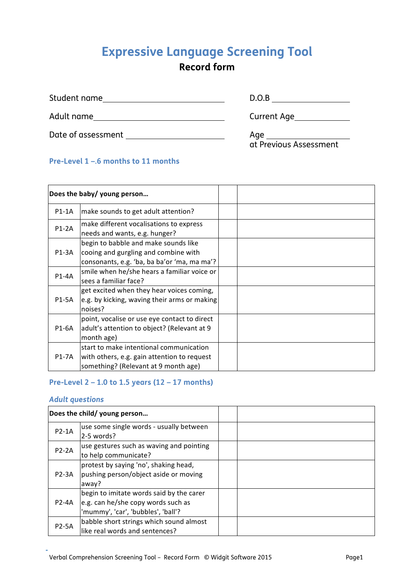# **Expressive Language Screening Tool**

# **Record form**

| Student name       | D.O.B                         |
|--------------------|-------------------------------|
| Adult name         | Current Age                   |
| Date of assessment | Age<br>at Previous Assessment |

#### **Pre-Level 1 –.6 months to 11 months**

|         | Does the baby/ young person                                                                                                    |  |
|---------|--------------------------------------------------------------------------------------------------------------------------------|--|
| $P1-1A$ | make sounds to get adult attention?                                                                                            |  |
| $P1-2A$ | make different vocalisations to express<br>needs and wants, e.g. hunger?                                                       |  |
| P1-3A   | begin to babble and make sounds like<br>cooing and gurgling and combine with<br>consonants, e.g. 'ba, ba ba'or 'ma, ma ma'?    |  |
| P1-4A   | smile when he/she hears a familiar voice or<br>sees a familiar face?                                                           |  |
| P1-5A   | get excited when they hear voices coming,<br>e.g. by kicking, waving their arms or making<br>noises?                           |  |
| P1-6A   | point, vocalise or use eye contact to direct<br>adult's attention to object? (Relevant at 9<br>month age)                      |  |
| P1-7A   | start to make intentional communication<br>with others, e.g. gain attention to request<br>something? (Relevant at 9 month age) |  |

#### **Pre-Level 2 – 1.0 to 1.5 years (12 – 17 months)**

#### *Adult questions*

|              | Does the child/ young person             |  |
|--------------|------------------------------------------|--|
| $P2-1A$      | use some single words - usually between  |  |
|              | $2-5$ words?                             |  |
| $P2-2A$      | use gestures such as waving and pointing |  |
|              | to help communicate?                     |  |
|              | protest by saying 'no', shaking head,    |  |
| $P2-3A$      | pushing person/object aside or moving    |  |
|              | away?                                    |  |
|              | begin to imitate words said by the carer |  |
| <b>P2-4A</b> | e.g. can he/she copy words such as       |  |
|              | 'mummy', 'car', 'bubbles', 'ball'?       |  |
| <b>P2-5A</b> | babble short strings which sound almost  |  |
|              | like real words and sentences?           |  |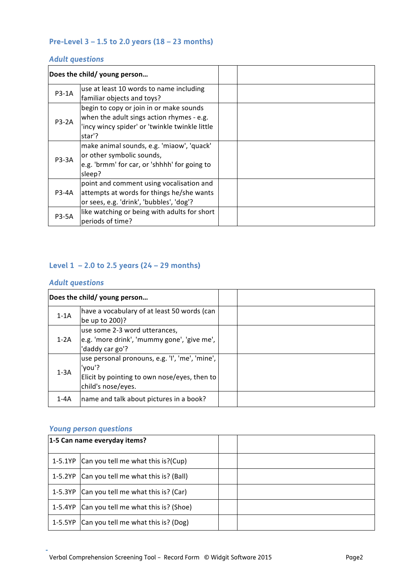#### **Pre-Level 3 – 1.5 to 2.0 years (18 – 23 months)**

### *Adult questions*

|              | Does the child/ young person                   |  |
|--------------|------------------------------------------------|--|
| P3-1A        | use at least 10 words to name including        |  |
|              | familiar objects and toys?                     |  |
|              | begin to copy or join in or make sounds        |  |
| <b>P3-2A</b> | when the adult sings action rhymes - e.g.      |  |
|              | 'incy wincy spider' or 'twinkle twinkle little |  |
|              | star'?                                         |  |
|              | make animal sounds, e.g. 'miaow', 'quack'      |  |
| P3-3A        | or other symbolic sounds,                      |  |
|              | e.g. 'brmm' for car, or 'shhhh' for going to   |  |
|              | sleep?                                         |  |
|              | point and comment using vocalisation and       |  |
| P3-4A        | attempts at words for things he/she wants      |  |
|              | or sees, e.g. 'drink', 'bubbles', 'dog'?       |  |
| <b>P3-5A</b> | like watching or being with adults for short   |  |
|              | periods of time?                               |  |

### **Level 1 – 2.0 to 2.5 years (24 – 29 months)**

#### *Adult questions*

|          | Does the child/ young person                                                                                                   |  |
|----------|--------------------------------------------------------------------------------------------------------------------------------|--|
| $1-1A$   | have a vocabulary of at least 50 words (can<br>be up to 200)?                                                                  |  |
| $1-2A$   | use some 2-3 word utterances,<br>e.g. 'more drink', 'mummy gone', 'give me',<br>'daddy car go'?                                |  |
| $1-3A$   | use personal pronouns, e.g. 'I', 'me', 'mine',<br>'you'?<br>Elicit by pointing to own nose/eyes, then to<br>child's nose/eyes. |  |
| $1 - 4A$ | name and talk about pictures in a book?                                                                                        |  |

| 1-5 Can name everyday items?                 |  |
|----------------------------------------------|--|
| 1-5.1YP Can you tell me what this is? (Cup)  |  |
| 1-5.2YP Can you tell me what this is? (Ball) |  |
| 1-5.3YP Can you tell me what this is? (Car)  |  |
| 1-5.4YP Can you tell me what this is? (Shoe) |  |
| 1-5.5YP Can you tell me what this is? (Dog)  |  |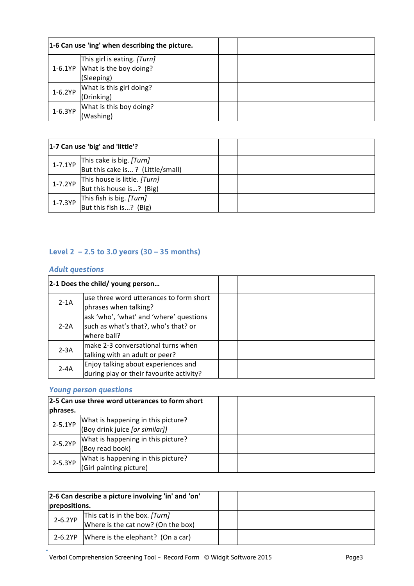|           | 1-6 Can use 'ing' when describing the picture. |  |
|-----------|------------------------------------------------|--|
|           | This girl is eating. [Turn]                    |  |
| 1-6.1YP   | What is the boy doing?                         |  |
|           | (Sleeping)                                     |  |
| $1-6.2YP$ | What is this girl doing?                       |  |
|           | (Drinking)                                     |  |
| $1-6.3YP$ | What is this boy doing?                        |  |
|           | (Washing)                                      |  |

|         | 1-7 Can use 'big' and 'little'?                              |  |
|---------|--------------------------------------------------------------|--|
| 1-7.1YP | This cake is big. [Turn]<br>But this cake is? (Little/small) |  |
| 1-7.2YP | This house is little. [Turn]<br>But this house is? (Big)     |  |
| 1-7.3YP | This fish is big. [Turn]<br>But this fish is? (Big)          |  |

## **Level 2 – 2.5 to 3.0 years (30 – 35 months)**

#### *Adult questions*

|          | 2-1 Does the child/ young person                                                               |  |
|----------|------------------------------------------------------------------------------------------------|--|
| $2-1A$   | use three word utterances to form short<br>phrases when talking?                               |  |
| $2 - 2A$ | ask 'who', 'what' and 'where' questions<br>such as what's that?, who's that? or<br>where ball? |  |
| $2 - 3A$ | make 2-3 conversational turns when<br>talking with an adult or peer?                           |  |
| $2 - 4A$ | Enjoy talking about experiences and<br>during play or their favourite activity?                |  |

|             | 2-5 Can use three word utterances to form short |  |
|-------------|-------------------------------------------------|--|
| phrases.    |                                                 |  |
| $2 - 5.1YP$ | What is happening in this picture?              |  |
|             | (Boy drink juice [or similar])                  |  |
| 2-5.2YP     | What is happening in this picture?              |  |
|             | (Boy read book)                                 |  |
| 2-5.3YP     | What is happening in this picture?              |  |
|             | (Girl painting picture)                         |  |

| prepositions. | 2-6 Can describe a picture involving 'in' and 'on'                   |  |
|---------------|----------------------------------------------------------------------|--|
| $2 - 6.2YP$   | This cat is in the box. [Turn]<br>Where is the cat now? (On the box) |  |
| 2-6.2YP       | Where is the elephant? (On a car)                                    |  |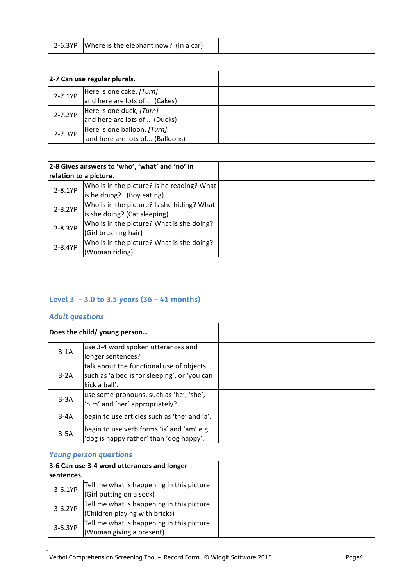| 2-6.3YP<br>Where is the elephant now? (In a car) |  |  |
|--------------------------------------------------|--|--|
|--------------------------------------------------|--|--|

| 2-7 Can use regular plurals. |                                 |  |
|------------------------------|---------------------------------|--|
| $2 - 7.1YP$                  | Here is one cake, [Turn]        |  |
|                              | and here are lots of (Cakes)    |  |
| 2-7.2YP                      | Here is one duck, [Turn]        |  |
|                              | and here are lots of (Ducks)    |  |
| 2-7.3YP                      | Here is one balloon, [Turn]     |  |
|                              | and here are lots of (Balloons) |  |

|             | 2-8 Gives answers to 'who', 'what' and 'no' in |  |
|-------------|------------------------------------------------|--|
|             | relation to a picture.                         |  |
| $2 - 8.1YP$ | Who is in the picture? Is he reading? What     |  |
|             | is he doing? (Boy eating)                      |  |
| 2-8.2YP     | Who is in the picture? Is she hiding? What     |  |
|             | is she doing? (Cat sleeping)                   |  |
| 2-8.3YP     | Who is in the picture? What is she doing?      |  |
|             | (Girl brushing hair)                           |  |
| 2-8.4YP     | Who is in the picture? What is she doing?      |  |
|             | (Woman riding)                                 |  |

## **Level 3 – 3.0 to 3.5 years (36 – 41 months)**

#### *Adult questions*

|        | Does the child/ young person                                                                              |  |
|--------|-----------------------------------------------------------------------------------------------------------|--|
| $3-1A$ | use 3-4 word spoken utterances and<br>longer sentences?                                                   |  |
| $3-2A$ | talk about the functional use of objects<br>such as 'a bed is for sleeping', or 'you can<br>kick a ball'. |  |
| $3-3A$ | use some pronouns, such as 'he', 'she',<br>'him' and 'her' appropriately?.                                |  |
| $3-4A$ | begin to use articles such as 'the' and 'a'.                                                              |  |
| $3-5A$ | begin to use verb forms 'is' and 'am' e.g.<br>'dog is happy rather' than 'dog happy'.                     |  |

| 3-6 Can use 3-4 word utterances and longer |                                                                              |  |
|--------------------------------------------|------------------------------------------------------------------------------|--|
| sentences.                                 |                                                                              |  |
| $3 - 6.1YP$                                | Tell me what is happening in this picture.<br>(Girl putting on a sock)       |  |
| $3-6.2YP$                                  | Tell me what is happening in this picture.<br>(Children playing with bricks) |  |
| 3-6.3YP                                    | Tell me what is happening in this picture.<br>(Woman giving a present)       |  |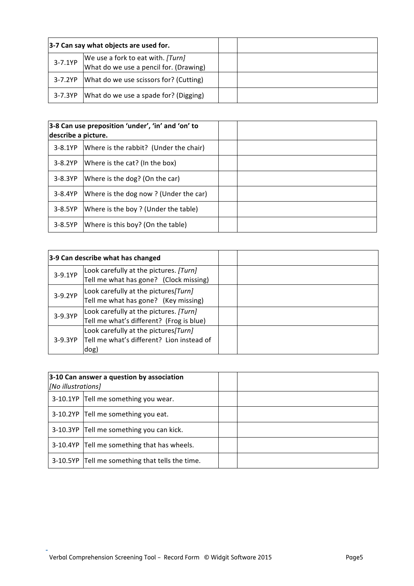|           | 3-7 Can say what objects are used for.                                      |  |
|-----------|-----------------------------------------------------------------------------|--|
| $3-7.1YP$ | We use a fork to eat with. [Turn]<br>What do we use a pencil for. (Drawing) |  |
|           | 3-7.2YP   What do we use scissors for? (Cutting)                            |  |
| 3-7.3YP   | What do we use a spade for? (Digging)                                       |  |

| describe a picture. | 3-8 Can use preposition 'under', 'in' and 'on' to |  |
|---------------------|---------------------------------------------------|--|
| $3-8.1YP$           | Where is the rabbit? (Under the chair)            |  |
| $3 - 8.2YP$         | Where is the cat? (In the box)                    |  |
| 3-8.3YP             | Where is the dog? (On the car)                    |  |
| $3 - 8.4YP$         | Where is the dog now? (Under the car)             |  |
| $3-8.5YP$           | Where is the boy? (Under the table)               |  |
| $3-8.5YP$           | Where is this boy? (On the table)                 |  |

|           | 3-9 Can describe what has changed                                                          |  |
|-----------|--------------------------------------------------------------------------------------------|--|
| 3-9.1YP   | Look carefully at the pictures. [Turn]<br>Tell me what has gone? (Clock missing)           |  |
| 3-9.2YP   | Look carefully at the pictures [Turn]<br>Tell me what has gone? (Key missing)              |  |
| 3-9.3YP   | Look carefully at the pictures. [Turn]<br>Tell me what's different? (Frog is blue)         |  |
| $3-9.3YP$ | Look carefully at the pictures [Turn]<br>Tell me what's different? Lion instead of<br>dog) |  |

| 3-10 Can answer a question by association<br>[No illustrations] |                                                 |  |
|-----------------------------------------------------------------|-------------------------------------------------|--|
|                                                                 | 3-10.1YP Tell me something you wear.            |  |
|                                                                 | 3-10.2YP Tell me something you eat.             |  |
|                                                                 | 3-10.3YP Tell me something you can kick.        |  |
|                                                                 | 3-10.4YP Tell me something that has wheels.     |  |
|                                                                 | 3-10.5YP Tell me something that tells the time. |  |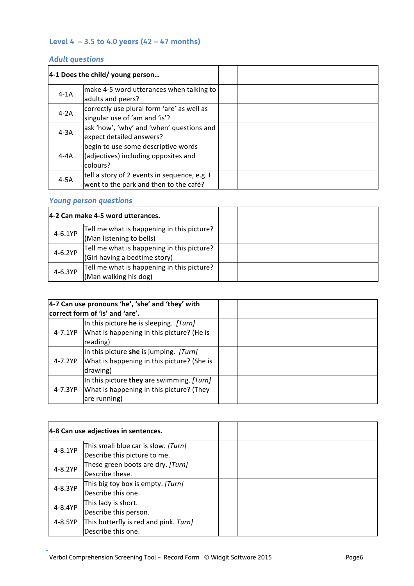#### **Level 4 – 3.5 to 4.0 years (42 – 47 months)**

### *Adult questions*

|        | 4-1 Does the child/ young person                                                        |  |
|--------|-----------------------------------------------------------------------------------------|--|
| $4-1A$ | make 4-5 word utterances when talking to<br>adults and peers?                           |  |
| $4-2A$ | correctly use plural form 'are' as well as<br>singular use of 'am and 'is'?             |  |
| $4-3A$ | ask 'how', 'why' and 'when' questions and<br>expect detailed answers?                   |  |
| 4-4A   | begin to use some descriptive words<br>(adjectives) including opposites and<br>colours? |  |
| $4-5A$ | tell a story of 2 events in sequence, e.g. I<br>went to the park and then to the café?  |  |

|         | 4-2 Can make 4-5 word utterances.          |  |
|---------|--------------------------------------------|--|
| 4-6.1YP | Tell me what is happening in this picture? |  |
|         | (Man listening to bells)                   |  |
| 4-6.2YP | Tell me what is happening in this picture? |  |
|         | (Girl having a bedtime story)              |  |
| 4-6.3YP | Tell me what is happening in this picture? |  |
|         | (Man walking his dog)                      |  |

| 4-7 Can use pronouns 'he', 'she' and 'they' with<br>correct form of 'is' and 'are'. |                                                                                                       |  |
|-------------------------------------------------------------------------------------|-------------------------------------------------------------------------------------------------------|--|
| 4-7.1YP                                                                             | In this picture he is sleeping. [Turn]<br>What is happening in this picture? (He is<br>reading)       |  |
| 4-7.2YP                                                                             | In this picture she is jumping. [Turn]<br>What is happening in this picture? (She is<br>drawing)      |  |
| 4-7.3YP                                                                             | In this picture they are swimming. [Turn]<br>What is happening in this picture? (They<br>are running) |  |

|         | 4-8 Can use adjectives in sentences.                                |  |
|---------|---------------------------------------------------------------------|--|
| 4-8.1YP | This small blue car is slow. [Turn]<br>Describe this picture to me. |  |
| 4-8.2YP | These green boots are dry. [Turn]<br>Describe these.                |  |
| 4-8.3YP | This big toy box is empty. [Turn]<br>Describe this one.             |  |
| 4-8.4YP | This lady is short.<br>Describe this person.                        |  |
| 4-8.5YP | This butterfly is red and pink. Turn]<br>Describe this one.         |  |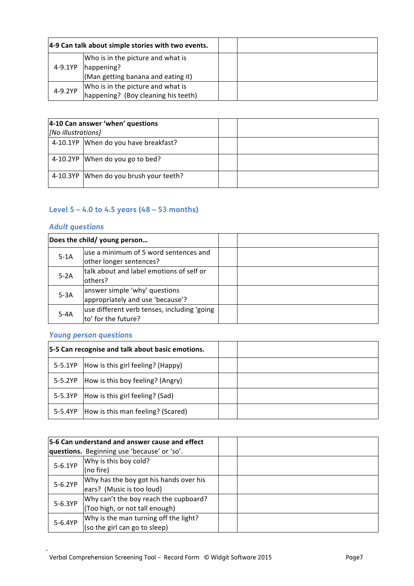|         | 4-9 Can talk about simple stories with two events.                       |  |
|---------|--------------------------------------------------------------------------|--|
|         | Who is in the picture and what is                                        |  |
| 4-9.1YP | happening?<br>(Man getting banana and eating it)                         |  |
| 4-9.2YP | Who is in the picture and what is<br>happening? (Boy cleaning his teeth) |  |

|                    | 4-10 Can answer 'when' questions       |  |  |
|--------------------|----------------------------------------|--|--|
| [No illustrations] |                                        |  |  |
|                    | 4-10.1YP When do you have breakfast?   |  |  |
|                    | 4-10.2YP When do you go to bed?        |  |  |
|                    | 4-10.3YP When do you brush your teeth? |  |  |

#### **Level 5 – 4.0 to 4.5 years (48 – 53 months)**

#### *Adult questions*

|        | Does the child/ young person                 |  |
|--------|----------------------------------------------|--|
| $5-1A$ | luse a minimum of 5 word sentences and       |  |
|        | other longer sentences?                      |  |
| $5-2A$ | talk about and label emotions of self or     |  |
|        | lothers?                                     |  |
| $5-3A$ | answer simple 'why' questions                |  |
|        | appropriately and use 'because'?             |  |
| $5-4A$ | use different verb tenses, including 'going' |  |
|        | to' for the future?                          |  |

|         | 5-5 Can recognise and talk about basic emotions. |  |
|---------|--------------------------------------------------|--|
|         | 5-5.1YP How is this girl feeling? (Happy)        |  |
| 5-5.2YP | How is this boy feeling? (Angry)                 |  |
| 5-5.3YP | How is this girl feeling? (Sad)                  |  |
|         | 5-5.4YP   How is this man feeling? (Scared)      |  |

|           | 5-6 Can understand and answer cause and effect |  |
|-----------|------------------------------------------------|--|
|           | questions. Beginning use 'because' or 'so'.    |  |
| $5-6.1YP$ | Why is this boy cold?                          |  |
|           | (no fire)                                      |  |
| 5-6.2YP   | Why has the boy got his hands over his         |  |
|           | ears? (Music is too loud)                      |  |
| 5-6.3YP   | Why can't the boy reach the cupboard?          |  |
|           | (Too high, or not tall enough)                 |  |
| 5-6.4YP   | Why is the man turning off the light?          |  |
|           | (so the girl can go to sleep)                  |  |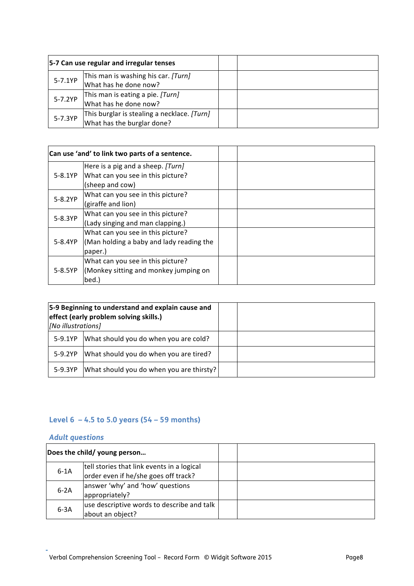|           | 5-7 Can use regular and irregular tenses                                  |  |
|-----------|---------------------------------------------------------------------------|--|
| $5 - 7.1$ | This man is washing his car. [Turn]<br>What has he done now?              |  |
| 5-7.2YP   | This man is eating a pie. [Turn]<br>What has he done now?                 |  |
| 5-7.3YP   | This burglar is stealing a necklace. [Turn]<br>What has the burglar done? |  |

|           | Can use 'and' to link two parts of a sentence. |  |
|-----------|------------------------------------------------|--|
|           | Here is a pig and a sheep. [Turn]              |  |
| 5-8.1YP   | What can you see in this picture?              |  |
|           | (sheep and cow)                                |  |
| 5-8.2YP   | What can you see in this picture?              |  |
|           | (giraffe and lion)                             |  |
| 5-8.3YP   | What can you see in this picture?              |  |
|           | (Lady singing and man clapping.)               |  |
|           | What can you see in this picture?              |  |
| 5-8.4YP   | (Man holding a baby and lady reading the       |  |
|           | paper.)                                        |  |
|           | What can you see in this picture?              |  |
| $5-8.5YP$ | (Monkey sitting and monkey jumping on          |  |
|           | bed.)                                          |  |

| [No illustrations] | 5-9 Beginning to understand and explain cause and<br>effect (early problem solving skills.) |  |
|--------------------|---------------------------------------------------------------------------------------------|--|
| 5-9.1YP            | What should you do when you are cold?                                                       |  |
| 5-9.2YP            | What should you do when you are tired?                                                      |  |
| 5-9.3YP            | What should you do when you are thirsty?                                                    |  |

## **Level 6 – 4.5 to 5.0 years (54 – 59 months)**

#### *Adult questions*

|        | Does the child/ young person                                                       |  |
|--------|------------------------------------------------------------------------------------|--|
| $6-1A$ | tell stories that link events in a logical<br>order even if he/she goes off track? |  |
| $6-2A$ | answer 'why' and 'how' questions<br>appropriately?                                 |  |
| $6-3A$ | use descriptive words to describe and talk<br>about an object?                     |  |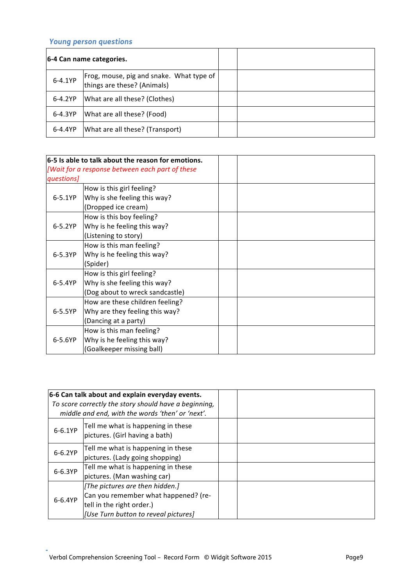|           | 6-4 Can name categories.                                                  |  |
|-----------|---------------------------------------------------------------------------|--|
| 6-4.1YP   | Frog, mouse, pig and snake. What type of  <br>things are these? (Animals) |  |
| $6-4.2YP$ | What are all these? (Clothes)                                             |  |
| 6-4.3YP   | What are all these? (Food)                                                |  |
| 6-4.4YP   | What are all these? (Transport)                                           |  |

|            | $6-5$ Is able to talk about the reason for emotions. |  |
|------------|------------------------------------------------------|--|
|            | [Wait for a response between each part of these      |  |
| questions] |                                                      |  |
|            | How is this girl feeling?                            |  |
| $6 - 5.1$  | Why is she feeling this way?                         |  |
|            | (Dropped ice cream)                                  |  |
|            | How is this boy feeling?                             |  |
| 6-5.2YP    | Why is he feeling this way?                          |  |
|            | (Listening to story)                                 |  |
|            | How is this man feeling?                             |  |
| 6-5.3YP    | Why is he feeling this way?                          |  |
|            | (Spider)                                             |  |
|            | How is this girl feeling?                            |  |
| $6 - 5.4$  | Why is she feeling this way?                         |  |
|            | (Dog about to wreck sandcastle)                      |  |
|            | How are these children feeling?                      |  |
| $6-5.5YP$  | Why are they feeling this way?                       |  |
|            | (Dancing at a party)                                 |  |
|            | How is this man feeling?                             |  |
| 6-5.6YP    | Why is he feeling this way?                          |  |
|            | (Goalkeeper missing ball)                            |  |

|           | 6-6 Can talk about and explain everyday events.<br>To score correctly the story should have a beginning,<br>middle and end, with the words 'then' or 'next'. |  |
|-----------|--------------------------------------------------------------------------------------------------------------------------------------------------------------|--|
| $6 - 6.1$ | Tell me what is happening in these<br>pictures. (Girl having a bath)                                                                                         |  |
| $6-6.2YP$ | Tell me what is happening in these<br>pictures. (Lady going shopping)                                                                                        |  |
| 6-6.3YP   | Tell me what is happening in these<br>pictures. (Man washing car)                                                                                            |  |
| 6-6.4YP   | [The pictures are then hidden.]<br>Can you remember what happened? (re-<br>tell in the right order.)<br>[Use Turn button to reveal pictures]                 |  |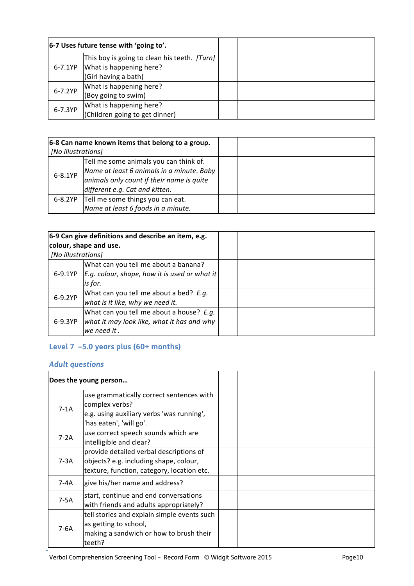|           | $ 6-7$ Uses future tense with 'going to'.                                                       |  |
|-----------|-------------------------------------------------------------------------------------------------|--|
| 6-7.1YP   | This boy is going to clean his teeth. [Turn]<br>What is happening here?<br>(Girl having a bath) |  |
| 6-7.2YP   | What is happening here?<br>(Boy going to swim)                                                  |  |
| $6-7.3YP$ | What is happening here?<br>(Children going to get dinner)                                       |  |

| 6-8 Can name known items that belong to a group. |                                           |  |
|--------------------------------------------------|-------------------------------------------|--|
| [No illustrations]                               |                                           |  |
| 6-8.1YP                                          | Tell me some animals you can think of.    |  |
|                                                  | Name at least 6 animals in a minute. Baby |  |
|                                                  | animals only count if their name is quite |  |
|                                                  | different e.g. Cat and kitten.            |  |
| 6-8.2YP                                          | Tell me some things you can eat.          |  |
|                                                  | Name at least 6 foods in a minute.        |  |

| [No illustrations] | 6-9 Can give definitions and describe an item, e.g.<br>colour, shape and use.                           |  |
|--------------------|---------------------------------------------------------------------------------------------------------|--|
| 6-9.1YP            | What can you tell me about a banana?<br>$E.g.$ colour, shape, how it is used or what it<br>is for.      |  |
| 6-9.2YP            | What can you tell me about a bed? E.g.<br>what is it like, why we need it.                              |  |
| 6-9.3YP            | What can you tell me about a house? E.g.<br>what it may look like, what it has and why<br>lwe need it . |  |

## **Level 7 –5.0 years plus (60+ months)**

## *Adult questions*

|        | Does the young person                                                                                                              |  |
|--------|------------------------------------------------------------------------------------------------------------------------------------|--|
| $7-1A$ | use grammatically correct sentences with<br>complex verbs?<br>e.g. using auxiliary verbs 'was running',<br>'has eaten', 'will go'. |  |
| $7-2A$ | use correct speech sounds which are<br>intelligible and clear?                                                                     |  |
| $7-3A$ | provide detailed verbal descriptions of<br>objects? e.g. including shape, colour,<br>texture, function, category, location etc.    |  |
| $7-4A$ | give his/her name and address?                                                                                                     |  |
| $7-5A$ | start, continue and end conversations<br>with friends and adults appropriately?                                                    |  |
| 7-6A   | tell stories and explain simple events such<br>as getting to school,<br>making a sandwich or how to brush their<br>teeth?          |  |